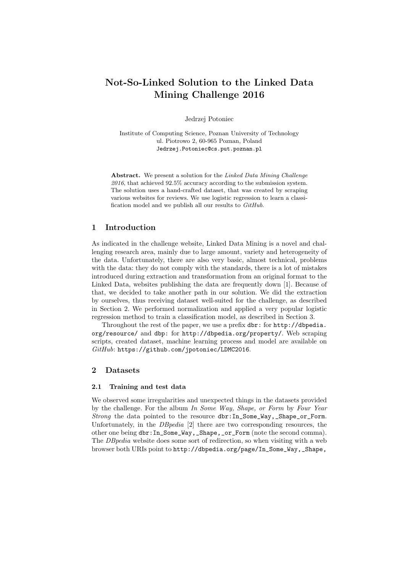# Not-So-Linked Solution to the Linked Data Mining Challenge 2016

Jedrzej Potoniec

Institute of Computing Science, Poznan University of Technology ul. Piotrowo 2, 60-965 Poznan, Poland Jedrzej.Potoniec@cs.put.poznan.pl

Abstract. We present a solution for the Linked Data Mining Challenge  $2016$ , that achieved  $92.5\%$  accuracy according to the submission system. The solution uses a hand-crafted dataset, that was created by scraping various websites for reviews. We use logistic regression to learn a classification model and we publish all our results to GitHub.

## 1 Introduction

As indicated in the challenge website, Linked Data Mining is a novel and challenging research area, mainly due to large amount, variety and heterogeneity of the data. Unfortunately, there are also very basic, almost technical, problems with the data: they do not comply with the standards, there is a lot of mistakes introduced during extraction and transformation from an original format to the Linked Data, websites publishing the data are frequently down [1]. Because of that, we decided to take another path in our solution. We did the extraction by ourselves, thus receiving dataset well-suited for the challenge, as described in Section 2. We performed normalization and applied a very popular logistic regression method to train a classification model, as described in Section 3.

Throughout the rest of the paper, we use a prefix dbr: for http://dbpedia. org/resource/ and dbp: for http://dbpedia.org/property/. Web scraping scripts, created dataset, machine learning process and model are available on GitHub: https://github.com/jpotoniec/LDMC2016.

## 2 Datasets

#### 2.1 Training and test data

We observed some irregularities and unexpected things in the datasets provided by the challenge. For the album In Some Way, Shape, or Form by Four Year Strong the data pointed to the resource dbr:In\_Some\_Way,\_Shape\_or\_Form. Unfortunately, in the *DBpedia* [2] there are two corresponding resources, the other one being dbr:In\_Some\_Way,\_Shape,\_or\_Form (note the second comma). The DBpedia website does some sort of redirection, so when visiting with a web browser both URIs point to http://dbpedia.org/page/In\_Some\_Way,\_Shape,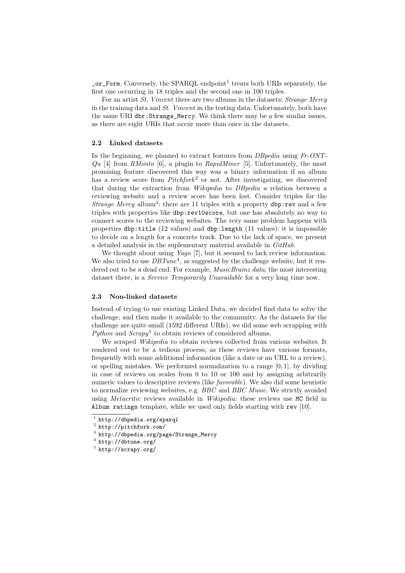$\text{\_or\_Form.}$  Conversely, the SPARQL endpoint<sup>1</sup> treats both URIs separately, the first one occurring in 18 triples and the second one in 100 triples.

For an artist St. Vincent there are two albums in the datasets: Strange Mercy in the training data and St. Vincent in the testing data. Unfortunately, both have the same URI dbr:Strange\_Mercy. We think there may be a few similar issues, as there are eight URIs that occur more than once in the datasets.

#### 2.2 Linked datasets

In the beginning, we planned to extract features from *DBpedia* using Fr-ONT- $Qu$  [4] from RMonto [6], a plugin to RapidMiner [5]. Unfortunately, the most promising feature discovered this way was a binary information if an album has a review score from  $Pitchfork^2$  or not. After investigating, we discovered that during the extraction from Wikipedia to DBpedia a relation between a reviewing website and a review score has been lost. Consider triples for the Strange Mercy album<sup>3</sup>: there are 11 triples with a property  $dbp:rev$  and a few triples with properties like dbp:rev10score, but one has absolutely no way to connect scores to the reviewing websites. The very same problem happens with properties dbp:title (12 values) and dbp:length (11 values): it is impossible to decide on a length for a concrete track. Due to the lack of space, we present a detailed analysis in the suplementary material available in  $\emph{GitHub}.$ 

We thought about using *Yago* [7], but it seemed to lack review information. We also tried to use  $DBTune^4$ , as suggested by the challenge website, but it rendered out to be a dead end. For example, *MusicBrainz data*, the most interesting dataset there, is a *Service Temporarily Unavailable* for a very long time now.

### 2.3 Non-linked datasets

Instead of trying to use existing Linked Data, we decided find data to solve the challenge, and then make it available to the community. As the datasets for the challenge are quite small (1592 different URIs), we did some web scrapping with Python and  $Scrapy<sup>5</sup>$  to obtain reviews of considered albums.

We scraped *Wikipedia* to obtain reviews collected from various websites. It rendered out to be a tedious process, as these reviews have various formats, frequently with some additional information (like a date or an URL to a review), or spelling mistakes. We performed normalization to a range  $[0, 1]$ , by dividing in case of reviews on scales from 0 to 10 or 100 and by assigning arbitrarily numeric values to descriptive reviews (like *favorable*). We also did some heuristic to normalize reviewing websites, e.g. BBC and BBC Music. We strictly avoided using *Metacritic* reviews available in *Wikipedia*: these reviews use MC field in Album ratings template, while we used only fields starting with rev [10].

 $^{\rm 1}$  http://dbpedia.org/sparql

<sup>2</sup> http://pitchfork.com/

 $^3$  http://dbpedia.org/page/Strange\_Mercy

 $^4$  http://dbtune.org/

 $^5$  http://scrapy.org/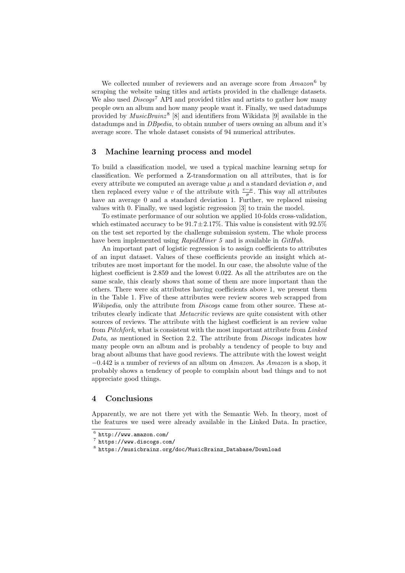We collected number of reviewers and an average score from  $A$ mazon<sup>6</sup> by scraping the website using titles and artists provided in the challenge datasets. We also used  $Discogs^7$  API and provided titles and artists to gather how many people own an album and how many people want it. Finally, we used datadumps provided by  $MusicBrainz<sup>8</sup>$  [8] and identifiers from Wikidata [9] available in the datadumps and in *DB pedia*, to obtain number of users owning an album and it's average score. The whole dataset consists of 94 numerical attributes.

#### 3 Machine learning process and model

To build a classification model, we used a typical machine learning setup for classification. We performed a Z-transformation on all attributes, that is for every attribute we computed an average value  $\mu$  and a standard deviation  $\sigma$ , and then replaced every value v of the attribute with  $\frac{v-\mu}{\sigma}$ . This way all attributes have an average 0 and a standard deviation 1. Further, we replaced missing values with 0. Finally, we used logistic regression [3] to train the model.

To estimate performance of our solution we applied 10-folds cross-validation, which estimated accuracy to be  $91.7 \pm 2.17\%$ . This value is consistent with  $92.5\%$ on the test set reported by the challenge submission system. The whole process have been implemented using *RapidMiner 5* and is available in *GitHub*.

An important part of logistic regression is to assign coefficients to attributes of an input dataset. Values of these coefficients provide an insight which attributes are most important for the model. In our case, the absolute value of the highest coefficient is 2.859 and the lowest 0.022. As all the attributes are on the same scale, this clearly shows that some of them are more important than the others. There were six attributes having coefficients above 1, we present them in the Table 1. Five of these attributes were review scores web scrapped from Wikipedia, only the attribute from *Discogs* came from other source. These attributes clearly indicate that Metacritic reviews are quite consistent with other sources of reviews. The attribute with the highest coefficient is an review value from Pitchfork, what is consistent with the most important attribute from Linked Data, as mentioned in Section 2.2. The attribute from Discogs indicates how many people own an album and is probably a tendency of people to buy and brag about albums that have good reviews. The attribute with the lowest weight  $-0.442$  is a number of reviews of an album on Amazon. As Amazon is a shop, it probably shows a tendency of people to complain about bad things and to not appreciate good things.

## 4 Conclusions

Apparently, we are not there yet with the Semantic Web. In theory, most of the features we used were already available in the Linked Data. In practice,

 $^6$  http://www.amazon.com/

<sup>7</sup> https://www.discogs.com/

 $^8$ https://musicbrainz.org/doc/MusicBrainz\_Database/Download